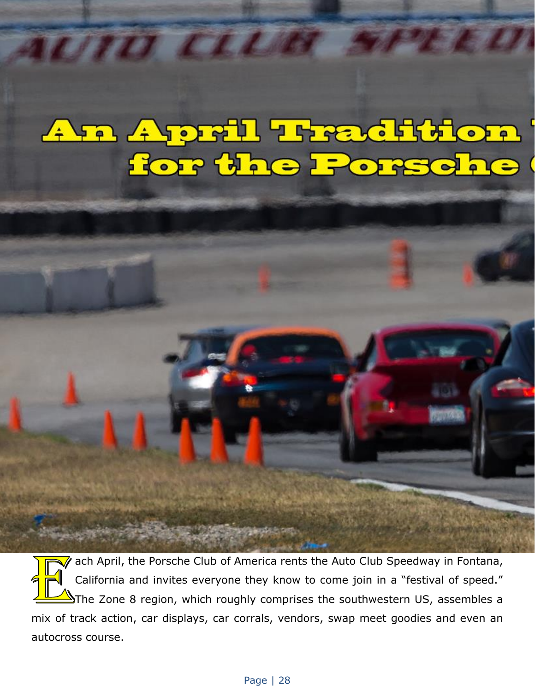## An April Tradition

 $\bar{z}$  ach April, the Porsche Club of America rents the Auto Club Speedway in Fontana, California and invites everyone they know to come join in a "festival of speed."  $\Delta$ The Zone 8 region, which roughly comprises the southwestern US, assembles a mix of track action, car displays, car corrals, vendors, swap meet goodies and even an autocross course.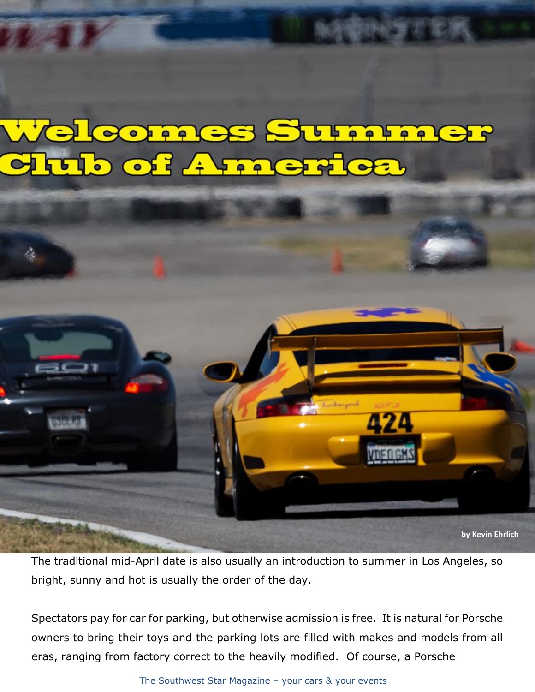## **FACS SUFFA**  $\bullet$ **FA** OF AFFAC



The traditional mid-April date is also usually an introduction to summer in Los Angeles, so bright, sunny and hot is usually the order of the day.

Spectators pay for car for parking, but otherwise admission is free. It is natural for Porsche owners to bring their toys and the parking lots are filled with makes and models from all eras, ranging from factory correct to the heavily modified. Of course, a Porsche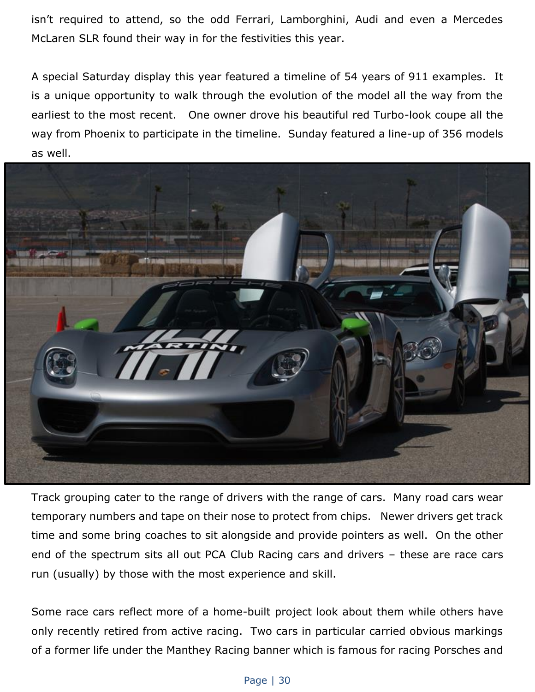isn't required to attend, so the odd Ferrari, Lamborghini, Audi and even a Mercedes McLaren SLR found their way in for the festivities this year.

A special Saturday display this year featured a timeline of 54 years of 911 examples. It is a unique opportunity to walk through the evolution of the model all the way from the earliest to the most recent. One owner drove his beautiful red Turbo-look coupe all the way from Phoenix to participate in the timeline. Sunday featured a line-up of 356 models as well.



Track grouping cater to the range of drivers with the range of cars. Many road cars wear temporary numbers and tape on their nose to protect from chips. Newer drivers get track time and some bring coaches to sit alongside and provide pointers as well. On the other end of the spectrum sits all out PCA Club Racing cars and drivers – these are race cars run (usually) by those with the most experience and skill.

Some race cars reflect more of a home-built project look about them while others have only recently retired from active racing. Two cars in particular carried obvious markings of a former life under the Manthey Racing banner which is famous for racing Porsches and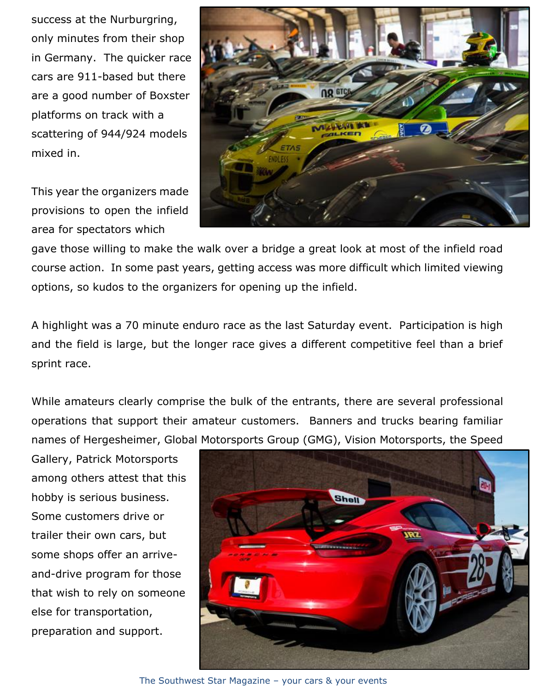success at the Nurburgring, only minutes from their shop in Germany. The quicker race cars are 911-based but there are a good number of Boxster platforms on track with a scattering of 944/924 models mixed in.

This year the organizers made provisions to open the infield area for spectators which



gave those willing to make the walk over a bridge a great look at most of the infield road course action. In some past years, getting access was more difficult which limited viewing options, so kudos to the organizers for opening up the infield.

A highlight was a 70 minute enduro race as the last Saturday event. Participation is high and the field is large, but the longer race gives a different competitive feel than a brief sprint race.

While amateurs clearly comprise the bulk of the entrants, there are several professional operations that support their amateur customers. Banners and trucks bearing familiar names of Hergesheimer, Global Motorsports Group (GMG), Vision Motorsports, the Speed

Gallery, Patrick Motorsports among others attest that this hobby is serious business. Some customers drive or trailer their own cars, but some shops offer an arriveand-drive program for those that wish to rely on someone else for transportation, preparation and support.



The Southwest Star Magazine – your cars & your events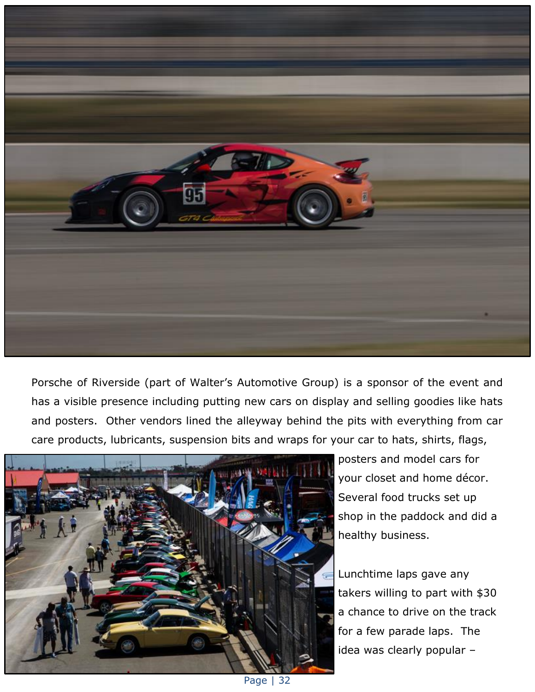

Porsche of Riverside (part of Walter's Automotive Group) is a sponsor of the event and has a visible presence including putting new cars on display and selling goodies like hats and posters. Other vendors lined the alleyway behind the pits with everything from car care products, lubricants, suspension bits and wraps for your car to hats, shirts, flags,



posters and model cars for your closet and home décor. Several food trucks set up shop in the paddock and did a healthy business.

Lunchtime laps gave any takers willing to part with \$30 a chance to drive on the track for a few parade laps. The idea was clearly popular –

Page | 32